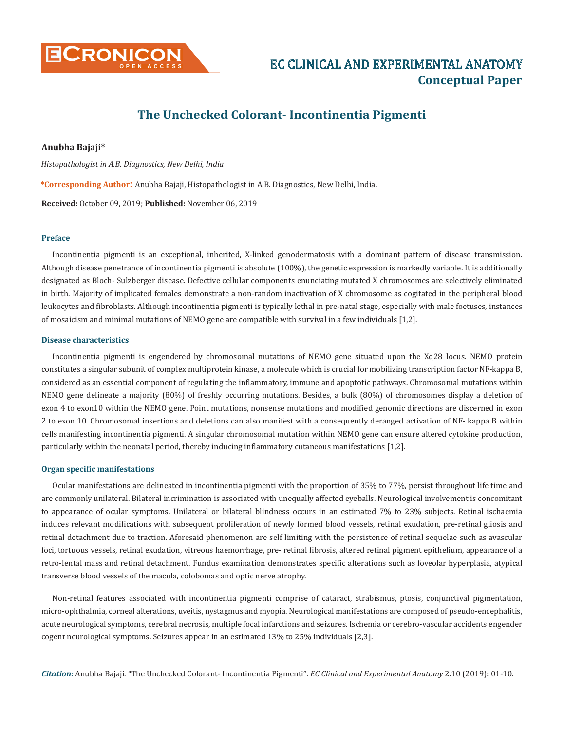

# **The Unchecked Colorant- Incontinentia Pigmenti**

# **Anubha Bajaji\***

*Histopathologist in A.B. Diagnostics, New Delhi, India*

**\*Corresponding Author**: Anubha Bajaji, Histopathologist in A.B. Diagnostics, New Delhi, India.

**Received:** October 09, 2019; **Published:** November 06, 2019

## **Preface**

Incontinentia pigmenti is an exceptional, inherited, X-linked genodermatosis with a dominant pattern of disease transmission. Although disease penetrance of incontinentia pigmenti is absolute (100%), the genetic expression is markedly variable. It is additionally designated as Bloch- Sulzberger disease. Defective cellular components enunciating mutated X chromosomes are selectively eliminated in birth. Majority of implicated females demonstrate a non-random inactivation of X chromosome as cogitated in the peripheral blood leukocytes and fibroblasts. Although incontinentia pigmenti is typically lethal in pre-natal stage, especially with male foetuses, instances of mosaicism and minimal mutations of NEMO gene are compatible with survival in a few individuals [1,2].

# **Disease characteristics**

Incontinentia pigmenti is engendered by chromosomal mutations of NEMO gene situated upon the Xq28 locus. NEMO protein constitutes a singular subunit of complex multiprotein kinase, a molecule which is crucial for mobilizing transcription factor NF-kappa B, considered as an essential component of regulating the inflammatory, immune and apoptotic pathways. Chromosomal mutations within NEMO gene delineate a majority (80%) of freshly occurring mutations. Besides, a bulk (80%) of chromosomes display a deletion of exon 4 to exon10 within the NEMO gene. Point mutations, nonsense mutations and modified genomic directions are discerned in exon 2 to exon 10. Chromosomal insertions and deletions can also manifest with a consequently deranged activation of NF- kappa B within cells manifesting incontinentia pigmenti. A singular chromosomal mutation within NEMO gene can ensure altered cytokine production, particularly within the neonatal period, thereby inducing inflammatory cutaneous manifestations [1,2].

#### **Organ specific manifestations**

Ocular manifestations are delineated in incontinentia pigmenti with the proportion of 35% to 77%, persist throughout life time and are commonly unilateral. Bilateral incrimination is associated with unequally affected eyeballs. Neurological involvement is concomitant to appearance of ocular symptoms. Unilateral or bilateral blindness occurs in an estimated 7% to 23% subjects. Retinal ischaemia induces relevant modifications with subsequent proliferation of newly formed blood vessels, retinal exudation, pre-retinal gliosis and retinal detachment due to traction. Aforesaid phenomenon are self limiting with the persistence of retinal sequelae such as avascular foci, tortuous vessels, retinal exudation, vitreous haemorrhage, pre- retinal fibrosis, altered retinal pigment epithelium, appearance of a retro-lental mass and retinal detachment. Fundus examination demonstrates specific alterations such as foveolar hyperplasia, atypical transverse blood vessels of the macula, colobomas and optic nerve atrophy.

Non-retinal features associated with incontinentia pigmenti comprise of cataract, strabismus, ptosis, conjunctival pigmentation, micro-ophthalmia, corneal alterations, uveitis, nystagmus and myopia. Neurological manifestations are composed of pseudo-encephalitis, acute neurological symptoms, cerebral necrosis, multiple focal infarctions and seizures. Ischemia or cerebro-vascular accidents engender cogent neurological symptoms. Seizures appear in an estimated 13% to 25% individuals [2,3].

*Citation:* Anubha Bajaji. "The Unchecked Colorant- Incontinentia Pigmenti"*. EC Clinical and Experimental Anatomy* 2.10 (2019): 01-10.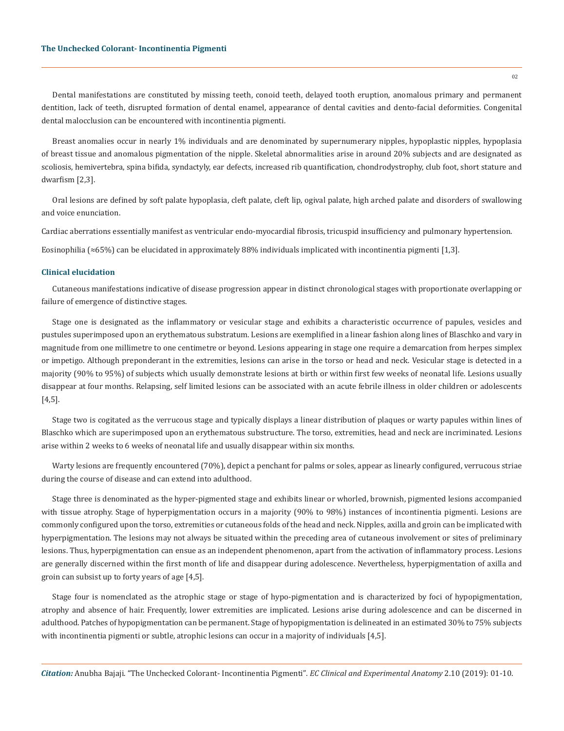Dental manifestations are constituted by missing teeth, conoid teeth, delayed tooth eruption, anomalous primary and permanent dentition, lack of teeth, disrupted formation of dental enamel, appearance of dental cavities and dento-facial deformities. Congenital dental malocclusion can be encountered with incontinentia pigmenti.

Breast anomalies occur in nearly 1% individuals and are denominated by supernumerary nipples, hypoplastic nipples, hypoplasia of breast tissue and anomalous pigmentation of the nipple. Skeletal abnormalities arise in around 20% subjects and are designated as scoliosis, hemivertebra, spina bifida, syndactyly, ear defects, increased rib quantification, chondrodystrophy, club foot, short stature and dwarfism [2,3].

Oral lesions are defined by soft palate hypoplasia, cleft palate, cleft lip, ogival palate, high arched palate and disorders of swallowing and voice enunciation.

Cardiac aberrations essentially manifest as ventricular endo-myocardial fibrosis, tricuspid insufficiency and pulmonary hypertension.

Eosinophilia (≈65%) can be elucidated in approximately 88% individuals implicated with incontinentia pigmenti [1,3].

#### **Clinical elucidation**

Cutaneous manifestations indicative of disease progression appear in distinct chronological stages with proportionate overlapping or failure of emergence of distinctive stages.

Stage one is designated as the inflammatory or vesicular stage and exhibits a characteristic occurrence of papules, vesicles and pustules superimposed upon an erythematous substratum. Lesions are exemplified in a linear fashion along lines of Blaschko and vary in magnitude from one millimetre to one centimetre or beyond. Lesions appearing in stage one require a demarcation from herpes simplex or impetigo. Although preponderant in the extremities, lesions can arise in the torso or head and neck. Vesicular stage is detected in a majority (90% to 95%) of subjects which usually demonstrate lesions at birth or within first few weeks of neonatal life. Lesions usually disappear at four months. Relapsing, self limited lesions can be associated with an acute febrile illness in older children or adolescents [4,5].

Stage two is cogitated as the verrucous stage and typically displays a linear distribution of plaques or warty papules within lines of Blaschko which are superimposed upon an erythematous substructure. The torso, extremities, head and neck are incriminated. Lesions arise within 2 weeks to 6 weeks of neonatal life and usually disappear within six months.

Warty lesions are frequently encountered (70%), depict a penchant for palms or soles, appear as linearly configured, verrucous striae during the course of disease and can extend into adulthood.

Stage three is denominated as the hyper-pigmented stage and exhibits linear or whorled, brownish, pigmented lesions accompanied with tissue atrophy. Stage of hyperpigmentation occurs in a majority (90% to 98%) instances of incontinentia pigmenti. Lesions are commonly configured upon the torso, extremities or cutaneous folds of the head and neck. Nipples, axilla and groin can be implicated with hyperpigmentation. The lesions may not always be situated within the preceding area of cutaneous involvement or sites of preliminary lesions. Thus, hyperpigmentation can ensue as an independent phenomenon, apart from the activation of inflammatory process. Lesions are generally discerned within the first month of life and disappear during adolescence. Nevertheless, hyperpigmentation of axilla and groin can subsist up to forty years of age [4,5].

Stage four is nomenclated as the atrophic stage or stage of hypo-pigmentation and is characterized by foci of hypopigmentation, atrophy and absence of hair. Frequently, lower extremities are implicated. Lesions arise during adolescence and can be discerned in adulthood. Patches of hypopigmentation can be permanent. Stage of hypopigmentation is delineated in an estimated 30% to 75% subjects with incontinentia pigmenti or subtle, atrophic lesions can occur in a majority of individuals [4,5].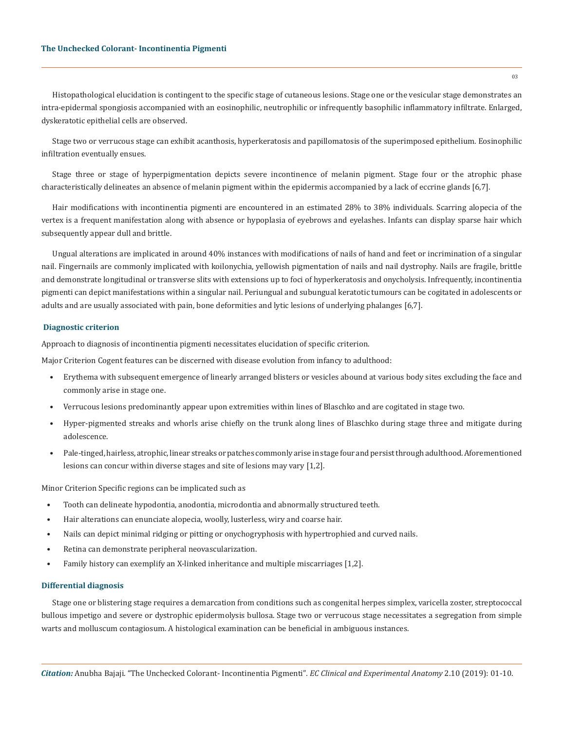Histopathological elucidation is contingent to the specific stage of cutaneous lesions. Stage one or the vesicular stage demonstrates an intra-epidermal spongiosis accompanied with an eosinophilic, neutrophilic or infrequently basophilic inflammatory infiltrate. Enlarged, dyskeratotic epithelial cells are observed.

Stage two or verrucous stage can exhibit acanthosis, hyperkeratosis and papillomatosis of the superimposed epithelium. Eosinophilic infiltration eventually ensues.

Stage three or stage of hyperpigmentation depicts severe incontinence of melanin pigment. Stage four or the atrophic phase characteristically delineates an absence of melanin pigment within the epidermis accompanied by a lack of eccrine glands [6,7].

Hair modifications with incontinentia pigmenti are encountered in an estimated 28% to 38% individuals. Scarring alopecia of the vertex is a frequent manifestation along with absence or hypoplasia of eyebrows and eyelashes. Infants can display sparse hair which subsequently appear dull and brittle.

Ungual alterations are implicated in around 40% instances with modifications of nails of hand and feet or incrimination of a singular nail. Fingernails are commonly implicated with koilonychia, yellowish pigmentation of nails and nail dystrophy. Nails are fragile, brittle and demonstrate longitudinal or transverse slits with extensions up to foci of hyperkeratosis and onycholysis. Infrequently, incontinentia pigmenti can depict manifestations within a singular nail. Periungual and subungual keratotic tumours can be cogitated in adolescents or adults and are usually associated with pain, bone deformities and lytic lesions of underlying phalanges [6,7].

#### **Diagnostic criterion**

Approach to diagnosis of incontinentia pigmenti necessitates elucidation of specific criterion.

Major Criterion Cogent features can be discerned with disease evolution from infancy to adulthood:

- Erythema with subsequent emergence of linearly arranged blisters or vesicles abound at various body sites excluding the face and commonly arise in stage one.
- Verrucous lesions predominantly appear upon extremities within lines of Blaschko and are cogitated in stage two.
- Hyper-pigmented streaks and whorls arise chiefly on the trunk along lines of Blaschko during stage three and mitigate during adolescence.
- Pale-tinged, hairless, atrophic, linear streaks or patches commonly arise in stage four and persist through adulthood. Aforementioned lesions can concur within diverse stages and site of lesions may vary [1,2].

Minor Criterion Specific regions can be implicated such as

- Tooth can delineate hypodontia, anodontia, microdontia and abnormally structured teeth.
- Hair alterations can enunciate alopecia, woolly, lusterless, wiry and coarse hair.
- Nails can depict minimal ridging or pitting or onychogryphosis with hypertrophied and curved nails.
- Retina can demonstrate peripheral neovascularization.
- Family history can exemplify an X-linked inheritance and multiple miscarriages [1,2].

# **Differential diagnosis**

Stage one or blistering stage requires a demarcation from conditions such as congenital herpes simplex, varicella zoster, streptococcal bullous impetigo and severe or dystrophic epidermolysis bullosa. Stage two or verrucous stage necessitates a segregation from simple warts and molluscum contagiosum. A histological examination can be beneficial in ambiguous instances.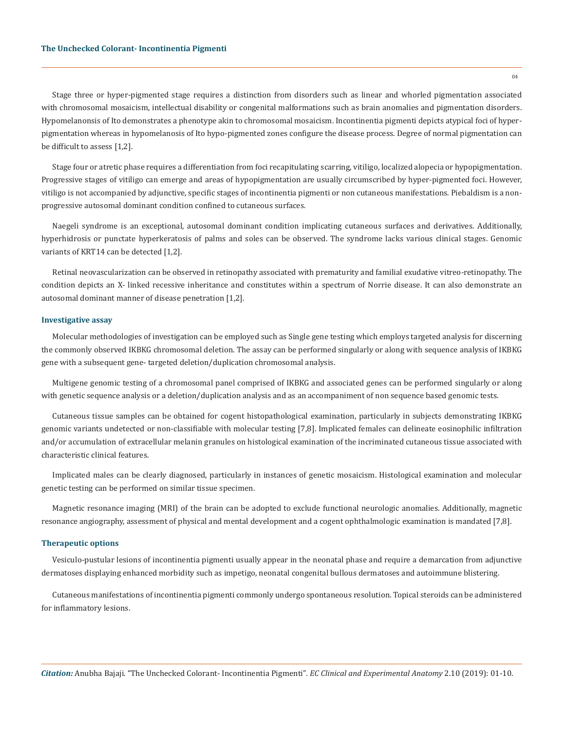Stage three or hyper-pigmented stage requires a distinction from disorders such as linear and whorled pigmentation associated with chromosomal mosaicism, intellectual disability or congenital malformations such as brain anomalies and pigmentation disorders. Hypomelanonsis of Ito demonstrates a phenotype akin to chromosomal mosaicism. Incontinentia pigmenti depicts atypical foci of hyperpigmentation whereas in hypomelanosis of Ito hypo-pigmented zones configure the disease process. Degree of normal pigmentation can be difficult to assess [1,2].

Stage four or atretic phase requires a differentiation from foci recapitulating scarring, vitiligo, localized alopecia or hypopigmentation. Progressive stages of vitiligo can emerge and areas of hypopigmentation are usually circumscribed by hyper-pigmented foci. However, vitiligo is not accompanied by adjunctive, specific stages of incontinentia pigmenti or non cutaneous manifestations. Piebaldism is a nonprogressive autosomal dominant condition confined to cutaneous surfaces.

Naegeli syndrome is an exceptional, autosomal dominant condition implicating cutaneous surfaces and derivatives. Additionally, hyperhidrosis or punctate hyperkeratosis of palms and soles can be observed. The syndrome lacks various clinical stages. Genomic variants of KRT14 can be detected [1,2].

Retinal neovascularization can be observed in retinopathy associated with prematurity and familial exudative vitreo-retinopathy. The condition depicts an X- linked recessive inheritance and constitutes within a spectrum of Norrie disease. It can also demonstrate an autosomal dominant manner of disease penetration [1,2].

#### **Investigative assay**

Molecular methodologies of investigation can be employed such as Single gene testing which employs targeted analysis for discerning the commonly observed IKBKG chromosomal deletion. The assay can be performed singularly or along with sequence analysis of IKBKG gene with a subsequent gene- targeted deletion/duplication chromosomal analysis.

Multigene genomic testing of a chromosomal panel comprised of IKBKG and associated genes can be performed singularly or along with genetic sequence analysis or a deletion/duplication analysis and as an accompaniment of non sequence based genomic tests.

Cutaneous tissue samples can be obtained for cogent histopathological examination, particularly in subjects demonstrating IKBKG genomic variants undetected or non-classifiable with molecular testing [7,8]. Implicated females can delineate eosinophilic infiltration and/or accumulation of extracellular melanin granules on histological examination of the incriminated cutaneous tissue associated with characteristic clinical features.

Implicated males can be clearly diagnosed, particularly in instances of genetic mosaicism. Histological examination and molecular genetic testing can be performed on similar tissue specimen.

Magnetic resonance imaging (MRI) of the brain can be adopted to exclude functional neurologic anomalies. Additionally, magnetic resonance angiography, assessment of physical and mental development and a cogent ophthalmologic examination is mandated [7,8].

# **Therapeutic options**

Vesiculo-pustular lesions of incontinentia pigmenti usually appear in the neonatal phase and require a demarcation from adjunctive dermatoses displaying enhanced morbidity such as impetigo, neonatal congenital bullous dermatoses and autoimmune blistering.

Cutaneous manifestations of incontinentia pigmenti commonly undergo spontaneous resolution. Topical steroids can be administered for inflammatory lesions.

*Citation:* Anubha Bajaji. "The Unchecked Colorant- Incontinentia Pigmenti"*. EC Clinical and Experimental Anatomy* 2.10 (2019): 01-10.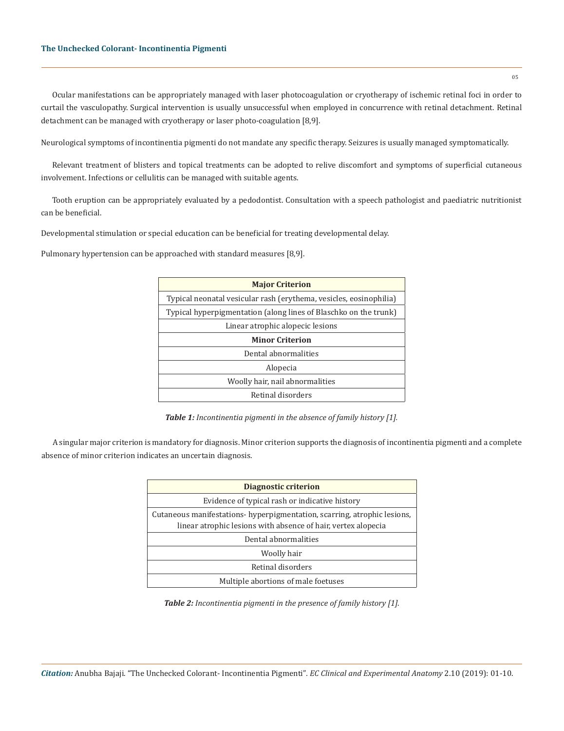Ocular manifestations can be appropriately managed with laser photocoagulation or cryotherapy of ischemic retinal foci in order to curtail the vasculopathy. Surgical intervention is usually unsuccessful when employed in concurrence with retinal detachment. Retinal detachment can be managed with cryotherapy or laser photo-coagulation [8,9].

Neurological symptoms of incontinentia pigmenti do not mandate any specific therapy. Seizures is usually managed symptomatically.

Relevant treatment of blisters and topical treatments can be adopted to relive discomfort and symptoms of superficial cutaneous involvement. Infections or cellulitis can be managed with suitable agents.

Tooth eruption can be appropriately evaluated by a pedodontist. Consultation with a speech pathologist and paediatric nutritionist can be beneficial.

Developmental stimulation or special education can be beneficial for treating developmental delay.

Pulmonary hypertension can be approached with standard measures [8,9].

| <b>Major Criterion</b>                                             |
|--------------------------------------------------------------------|
| Typical neonatal vesicular rash (erythema, vesicles, eosinophilia) |
| Typical hyperpigmentation (along lines of Blaschko on the trunk)   |
| Linear atrophic alopecic lesions                                   |
| <b>Minor Criterion</b>                                             |
| Dental abnormalities                                               |
| Alopecia                                                           |
| Woolly hair, nail abnormalities                                    |
| Retinal disorders                                                  |

*Table 1: Incontinentia pigmenti in the absence of family history [1].*

A singular major criterion is mandatory for diagnosis. Minor criterion supports the diagnosis of incontinentia pigmenti and a complete absence of minor criterion indicates an uncertain diagnosis.

| Diagnostic criterion                                                                                                                     |
|------------------------------------------------------------------------------------------------------------------------------------------|
| Evidence of typical rash or indicative history                                                                                           |
| Cutaneous manifestations-hyperpigmentation, scarring, atrophic lesions,<br>linear atrophic lesions with absence of hair, vertex alopecia |
| Dental abnormalities                                                                                                                     |
| Woolly hair                                                                                                                              |
| Retinal disorders                                                                                                                        |
| Multiple abortions of male foetuses                                                                                                      |

*Table 2: Incontinentia pigmenti in the presence of family history [1].*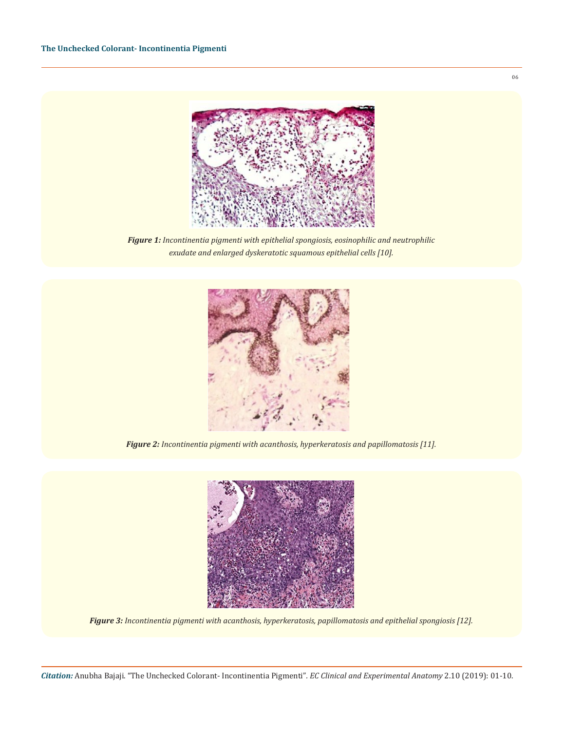

*Figure 1: Incontinentia pigmenti with epithelial spongiosis, eosinophilic and neutrophilic exudate and enlarged dyskeratotic squamous epithelial cells [10].*



*Figure 2: Incontinentia pigmenti with acanthosis, hyperkeratosis and papillomatosis [11].* 



*Figure 3: Incontinentia pigmenti with acanthosis, hyperkeratosis, papillomatosis and epithelial spongiosis [12].*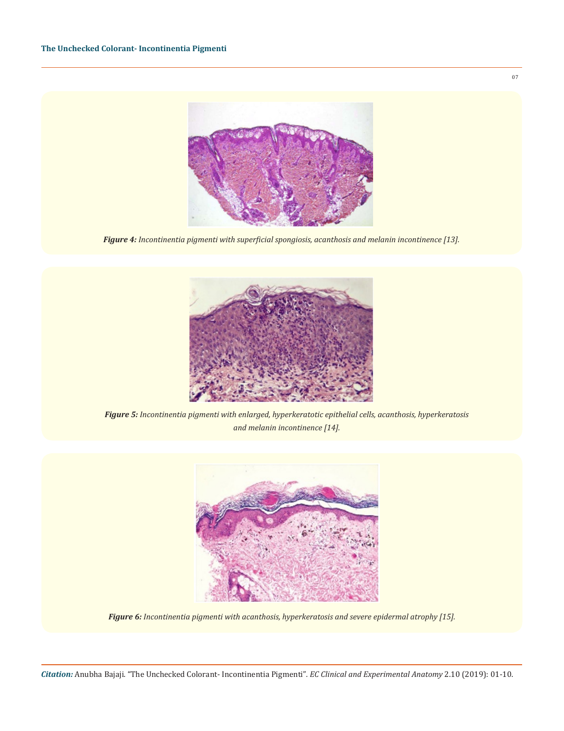

*Figure 4: Incontinentia pigmenti with superficial spongiosis, acanthosis and melanin incontinence [13].* 



*Figure 5: Incontinentia pigmenti with enlarged, hyperkeratotic epithelial cells, acanthosis, hyperkeratosis and melanin incontinence [14].* 



*Figure 6: Incontinentia pigmenti with acanthosis, hyperkeratosis and severe epidermal atrophy [15].*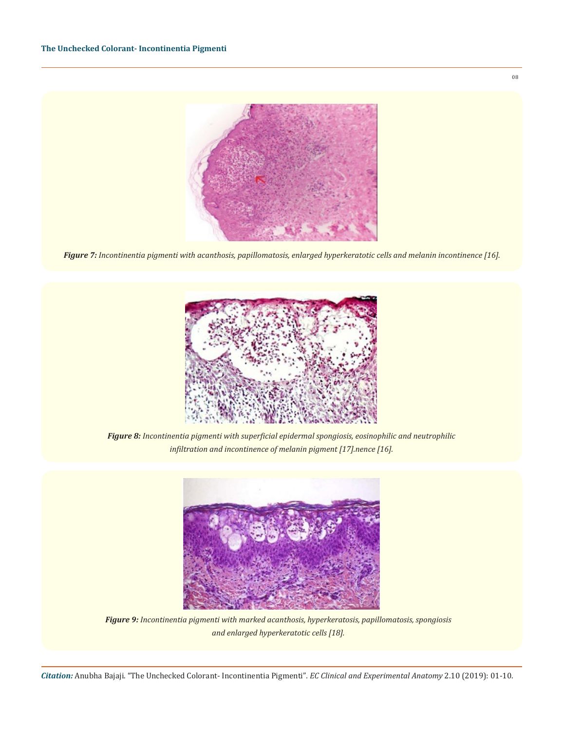

*Figure 7: Incontinentia pigmenti with acanthosis, papillomatosis, enlarged hyperkeratotic cells and melanin incontinence [16].* 



*Figure 8: Incontinentia pigmenti with superficial epidermal spongiosis, eosinophilic and neutrophilic infiltration and incontinence of melanin pigment [17].nence [16].* 



*Figure 9: Incontinentia pigmenti with marked acanthosis, hyperkeratosis, papillomatosis, spongiosis and enlarged hyperkeratotic cells [18].*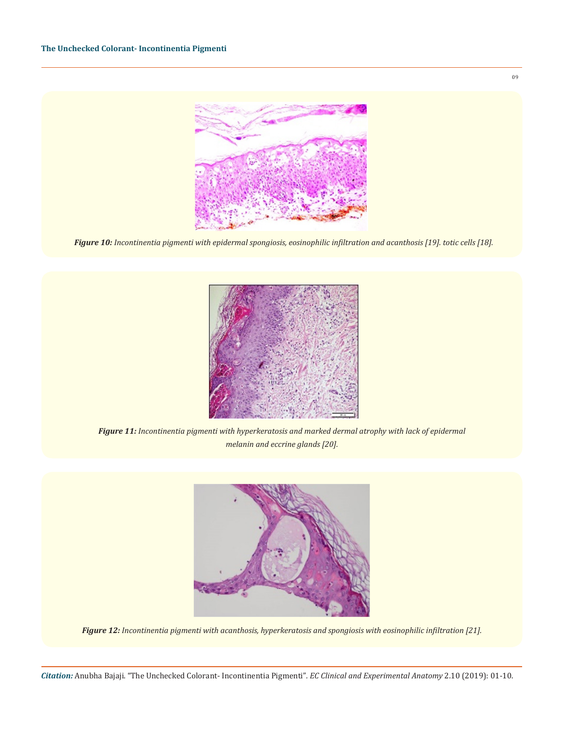

*Figure 10: Incontinentia pigmenti with epidermal spongiosis, eosinophilic infiltration and acanthosis [19]. totic cells [18].*



*Figure 11: Incontinentia pigmenti with hyperkeratosis and marked dermal atrophy with lack of epidermal melanin and eccrine glands [20].*



*Figure 12: Incontinentia pigmenti with acanthosis, hyperkeratosis and spongiosis with eosinophilic infiltration [21].*